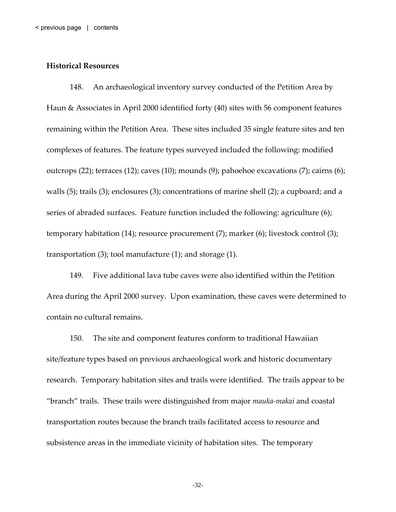#### <span id="page-0-0"></span>**Historical Resources**

148. An archaeological inventory survey conducted of the Petition Area by Haun & Associates in April 2000 identified forty (40) sites with 56 component features remaining within the Petition Area. These sites included 35 single feature sites and ten complexes of features. The feature types surveyed included the following: modified outcrops (22); terraces (12); caves (10); mounds (9); pahoehoe excavations (7); cairns (6); walls (5); trails (3); enclosures (3); concentrations of marine shell (2); a cupboard; and a series of abraded surfaces. Feature function included the following: agriculture (6); temporary habitation (14); resource procurement (7); marker (6); livestock control (3); transportation (3); tool manufacture (1); and storage (1).

149. Five additional lava tube caves were also identified within the Petition Area during the April 2000 survey. Upon examination, these caves were determined to contain no cultural remains.

150. The site and component features conform to traditional Hawaiian site/feature types based on previous archaeological work and historic documentary research. Temporary habitation sites and trails were identified. The trails appear to be "branch" trails. These trails were distinguished from major *mauka‐makai* and coastal transportation routes because the branch trails facilitated access to resource and subsistence areas in the immediate vicinity of habitation sites. The temporary

-32-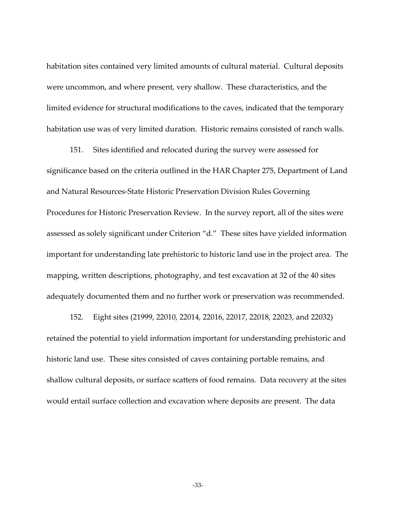habitation sites contained very limited amounts of cultural material. Cultural deposits were uncommon, and where present, very shallow. These characteristics, and the limited evidence for structural modifications to the caves, indicated that the temporary habitation use was of very limited duration. Historic remains consisted of ranch walls.

151. Sites identified and relocated during the survey were assessed for significance based on the criteria outlined in the HAR Chapter 275, Department of Land and Natural Resources‐State Historic Preservation Division Rules Governing Procedures for Historic Preservation Review. In the survey report, all of the sites were assessed as solely significant under Criterion "d." These sites have yielded information important for understanding late prehistoric to historic land use in the project area. The mapping, written descriptions, photography, and test excavation at 32 of the 40 sites adequately documented them and no further work or preservation was recommended.

152. Eight sites (21999, 22010, 22014, 22016, 22017, 22018, 22023, and 22032) retained the potential to yield information important for understanding prehistoric and historic land use. These sites consisted of caves containing portable remains, and shallow cultural deposits, or surface scatters of food remains. Data recovery at the sites would entail surface collection and excavation where deposits are present. The data

-33-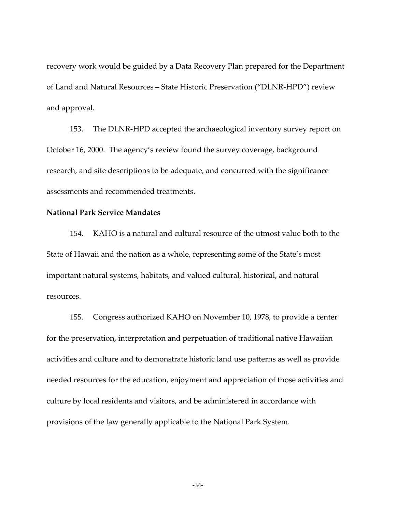recovery work would be guided by a Data Recovery Plan prepared for the Department of Land and Natural Resources – State Historic Preservation ("DLNR‐HPD") review and approval.

153. The DLNR‐HPD accepted the archaeological inventory survey report on October 16, 2000. The agency's review found the survey coverage, background research, and site descriptions to be adequate, and concurred with the significance assessments and recommended treatments.

# **National Park Service Mandates**

154. KAHO is a natural and cultural resource of the utmost value both to the State of Hawaii and the nation as a whole, representing some of the State's most important natural systems, habitats, and valued cultural, historical, and natural resources.

155. Congress authorized KAHO on November 10, 1978, to provide a center for the preservation, interpretation and perpetuation of traditional native Hawaiian activities and culture and to demonstrate historic land use patterns as well as provide needed resources for the education, enjoyment and appreciation of those activities and culture by local residents and visitors, and be administered in accordance with provisions of the law generally applicable to the National Park System.

-34-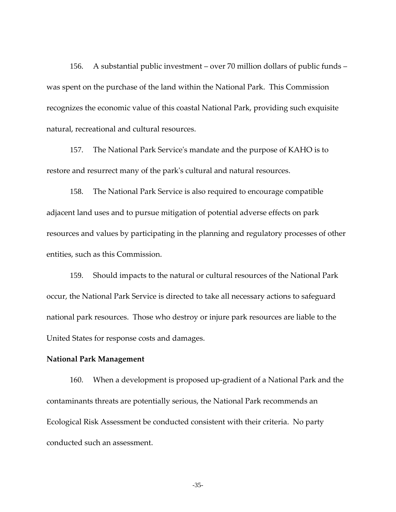156. A substantial public investment – over 70 million dollars of public funds – was spent on the purchase of the land within the National Park. This Commission recognizes the economic value of this coastal National Park, providing such exquisite natural, recreational and cultural resources.

157. The National Park Serviceʹs mandate and the purpose of KAHO is to restore and resurrect many of the parkʹs cultural and natural resources.

158. The National Park Service is also required to encourage compatible adjacent land uses and to pursue mitigation of potential adverse effects on park resources and values by participating in the planning and regulatory processes of other entities, such as this Commission.

159. Should impacts to the natural or cultural resources of the National Park occur, the National Park Service is directed to take all necessary actions to safeguard national park resources. Those who destroy or injure park resources are liable to the United States for response costs and damages.

## **National Park Management**

160. When a development is proposed up‐gradient of a National Park and the contaminants threats are potentially serious, the National Park recommends an Ecological Risk Assessment be conducted consistent with their criteria. No party conducted such an assessment.

-35-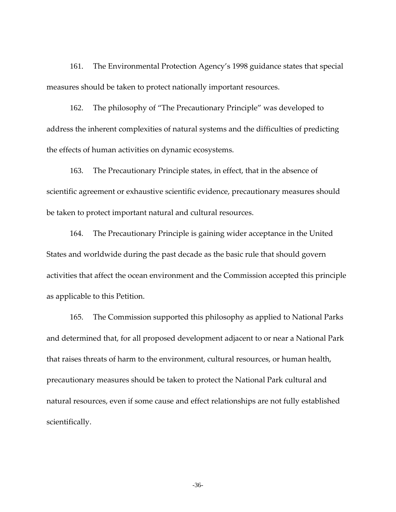161. The Environmental Protection Agency's 1998 guidance states that special measures should be taken to protect nationally important resources.

162. The philosophy of "The Precautionary Principle" was developed to address the inherent complexities of natural systems and the difficulties of predicting the effects of human activities on dynamic ecosystems.

163. The Precautionary Principle states, in effect, that in the absence of scientific agreement or exhaustive scientific evidence, precautionary measures should be taken to protect important natural and cultural resources.

164. The Precautionary Principle is gaining wider acceptance in the United States and worldwide during the past decade as the basic rule that should govern activities that affect the ocean environment and the Commission accepted this principle as applicable to this Petition.

165. The Commission supported this philosophy as applied to National Parks and determined that, for all proposed development adjacent to or near a National Park that raises threats of harm to the environment, cultural resources, or human health, precautionary measures should be taken to protect the National Park cultural and natural resources, even if some cause and effect relationships are not fully established scientifically.

-36-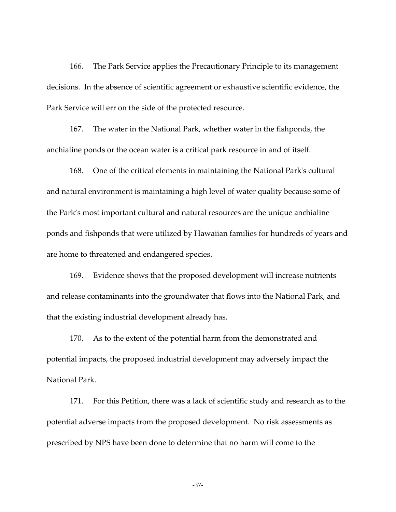166. The Park Service applies the Precautionary Principle to its management decisions. In the absence of scientific agreement or exhaustive scientific evidence, the Park Service will err on the side of the protected resource.

167. The water in the National Park, whether water in the fishponds, the anchialine ponds or the ocean water is a critical park resource in and of itself.

168. One of the critical elements in maintaining the National Parkʹs cultural and natural environment is maintaining a high level of water quality because some of the Park's most important cultural and natural resources are the unique anchialine ponds and fishponds that were utilized by Hawaiian families for hundreds of years and are home to threatened and endangered species.

169. Evidence shows that the proposed development will increase nutrients and release contaminants into the groundwater that flows into the National Park, and that the existing industrial development already has.

170. As to the extent of the potential harm from the demonstrated and potential impacts, the proposed industrial development may adversely impact the National Park.

171. For this Petition, there was a lack of scientific study and research as to the potential adverse impacts from the proposed development. No risk assessments as prescribed by NPS have been done to determine that no harm will come to the

-37-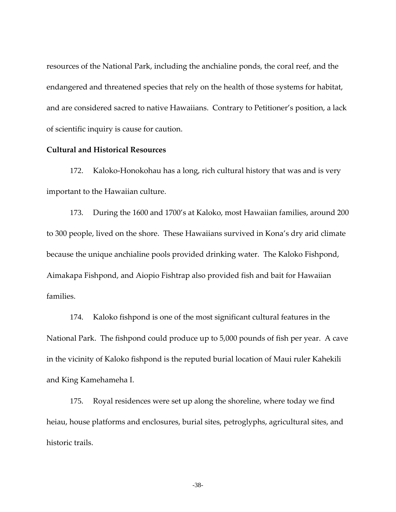resources of the National Park, including the anchialine ponds, the coral reef, and the endangered and threatened species that rely on the health of those systems for habitat, and are considered sacred to native Hawaiians. Contrary to Petitioner's position, a lack of scientific inquiry is cause for caution.

### **Cultural and Historical Resources**

172. Kaloko-Honokohau has a long, rich cultural history that was and is very important to the Hawaiian culture.

173. During the 1600 and 1700's at Kaloko, most Hawaiian families, around 200 to 300 people, lived on the shore. These Hawaiians survived in Kona's dry arid climate because the unique anchialine pools provided drinking water. The Kaloko Fishpond, Aimakapa Fishpond, and Aiopio Fishtrap also provided fish and bait for Hawaiian families.

174. Kaloko fishpond is one of the most significant cultural features in the National Park. The fishpond could produce up to 5,000 pounds of fish per year. A cave in the vicinity of Kaloko fishpond is the reputed burial location of Maui ruler Kahekili and King Kamehameha I.

175. Royal residences were set up along the shoreline, where today we find heiau, house platforms and enclosures, burial sites, petroglyphs, agricultural sites, and historic trails.

-38-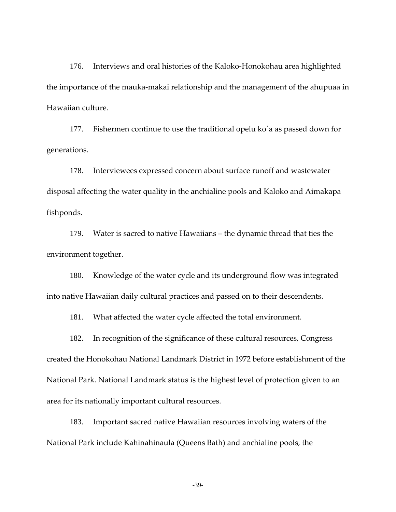176. Interviews and oral histories of the Kaloko‐Honokohau area highlighted the importance of the mauka‐makai relationship and the management of the ahupuaa in Hawaiian culture.

177. Fishermen continue to use the traditional opelu ko`a as passed down for generations.

178. Interviewees expressed concern about surface runoff and wastewater disposal affecting the water quality in the anchialine pools and Kaloko and Aimakapa fishponds.

179. Water is sacred to native Hawaiians – the dynamic thread that ties the environment together.

180. Knowledge of the water cycle and its underground flow was integrated into native Hawaiian daily cultural practices and passed on to their descendents.

181. What affected the water cycle affected the total environment.

182. In recognition of the significance of these cultural resources, Congress created the Honokohau National Landmark District in 1972 before establishment of the National Park. National Landmark status is the highest level of protection given to an area for its nationally important cultural resources.

183. Important sacred native Hawaiian resources involving waters of the National Park include Kahinahinaula (Queens Bath) and anchialine pools, the

-39-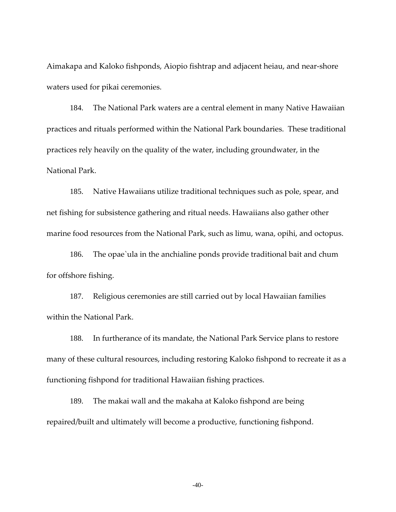Aimakapa and Kaloko fishponds, Aiopio fishtrap and adjacent heiau, and near‐shore waters used for pikai ceremonies.

184. The National Park waters are a central element in many Native Hawaiian practices and rituals performed within the National Park boundaries. These traditional practices rely heavily on the quality of the water, including groundwater, in the National Park.

185. Native Hawaiians utilize traditional techniques such as pole, spear, and net fishing for subsistence gathering and ritual needs. Hawaiians also gather other marine food resources from the National Park, such as limu, wana, opihi, and octopus.

186. The opae`ula in the anchialine ponds provide traditional bait and chum for offshore fishing.

187. Religious ceremonies are still carried out by local Hawaiian families within the National Park.

188. In furtherance of its mandate, the National Park Service plans to restore many of these cultural resources, including restoring Kaloko fishpond to recreate it as a functioning fishpond for traditional Hawaiian fishing practices.

189. The makai wall and the makaha at Kaloko fishpond are being repaired/built and ultimately will become a productive, functioning fishpond.

 $-40-$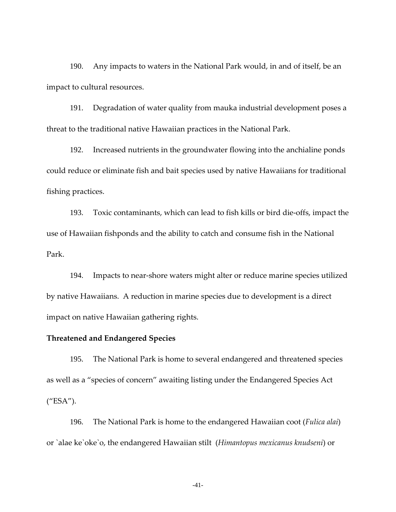190. Any impacts to waters in the National Park would, in and of itself, be an impact to cultural resources.

191. Degradation of water quality from mauka industrial development poses a threat to the traditional native Hawaiian practices in the National Park.

192. Increased nutrients in the groundwater flowing into the anchialine ponds could reduce or eliminate fish and bait species used by native Hawaiians for traditional fishing practices.

193. Toxic contaminants, which can lead to fish kills or bird die‐offs, impact the use of Hawaiian fishponds and the ability to catch and consume fish in the National Park.

194. Impacts to near-shore waters might alter or reduce marine species utilized by native Hawaiians. A reduction in marine species due to development is a direct impact on native Hawaiian gathering rights.

# **Threatened and Endangered Species**

195. The National Park is home to several endangered and threatened species as well as a "species of concern" awaiting listing under the Endangered Species Act ("ESA").

196. The National Park is home to the endangered Hawaiian coot (*Fulica alai*) or `alae ke`oke`o, the endangered Hawaiian stilt (*Himantopus mexicanus knudseni*) or

-41-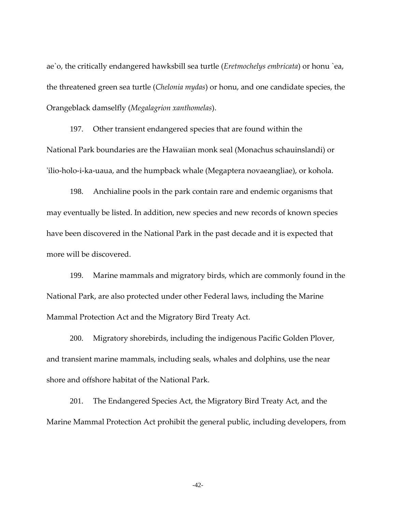ae`o, the critically endangered hawksbill sea turtle (*Eretmochelys embricata*) or honu `ea, the threatened green sea turtle (*Chelonia mydas*) or honu, and one candidate species, the Orangeblack damselfly (*Megalagrion xanthomelas*).

197. Other transient endangered species that are found within the National Park boundaries are the Hawaiian monk seal (Monachus schauinslandi) or ʹilio‐holo‐i‐ka‐uaua, and the humpback whale (Megaptera novaeangliae), or kohola.

198. Anchialine pools in the park contain rare and endemic organisms that may eventually be listed. In addition, new species and new records of known species have been discovered in the National Park in the past decade and it is expected that more will be discovered.

199. Marine mammals and migratory birds, which are commonly found in the National Park, are also protected under other Federal laws, including the Marine Mammal Protection Act and the Migratory Bird Treaty Act.

200. Migratory shorebirds, including the indigenous Pacific Golden Plover, and transient marine mammals, including seals, whales and dolphins, use the near shore and offshore habitat of the National Park.

201. The Endangered Species Act, the Migratory Bird Treaty Act, and the Marine Mammal Protection Act prohibit the general public, including developers, from

-42-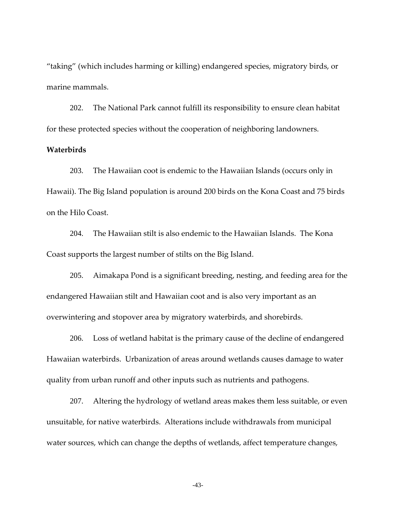"taking" (which includes harming or killing) endangered species, migratory birds, or marine mammals.

202. The National Park cannot fulfill its responsibility to ensure clean habitat for these protected species without the cooperation of neighboring landowners.

# **Waterbirds**

203. The Hawaiian coot is endemic to the Hawaiian Islands (occurs only in Hawaii). The Big Island population is around 200 birds on the Kona Coast and 75 birds on the Hilo Coast.

204. The Hawaiian stilt is also endemic to the Hawaiian Islands. The Kona Coast supports the largest number of stilts on the Big Island.

205. Aimakapa Pond is a significant breeding, nesting, and feeding area for the endangered Hawaiian stilt and Hawaiian coot and is also very important as an overwintering and stopover area by migratory waterbirds, and shorebirds.

206. Loss of wetland habitat is the primary cause of the decline of endangered Hawaiian waterbirds. Urbanization of areas around wetlands causes damage to water quality from urban runoff and other inputs such as nutrients and pathogens.

207. Altering the hydrology of wetland areas makes them less suitable, or even unsuitable, for native waterbirds. Alterations include withdrawals from municipal water sources, which can change the depths of wetlands, affect temperature changes,

-43-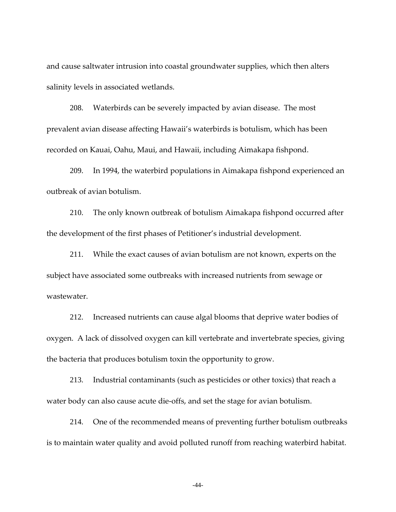and cause saltwater intrusion into coastal groundwater supplies, which then alters salinity levels in associated wetlands.

208. Waterbirds can be severely impacted by avian disease. The most prevalent avian disease affecting Hawaii's waterbirds is botulism, which has been recorded on Kauai, Oahu, Maui, and Hawaii, including Aimakapa fishpond.

209. In 1994, the waterbird populations in Aimakapa fishpond experienced an outbreak of avian botulism.

210. The only known outbreak of botulism Aimakapa fishpond occurred after the development of the first phases of Petitioner's industrial development.

211. While the exact causes of avian botulism are not known, experts on the subject have associated some outbreaks with increased nutrients from sewage or wastewater.

212. Increased nutrients can cause algal blooms that deprive water bodies of oxygen. A lack of dissolved oxygen can kill vertebrate and invertebrate species, giving the bacteria that produces botulism toxin the opportunity to grow.

213. Industrial contaminants (such as pesticides or other toxics) that reach a water body can also cause acute die-offs, and set the stage for avian botulism.

214. One of the recommended means of preventing further botulism outbreaks is to maintain water quality and avoid polluted runoff from reaching waterbird habitat.

-44-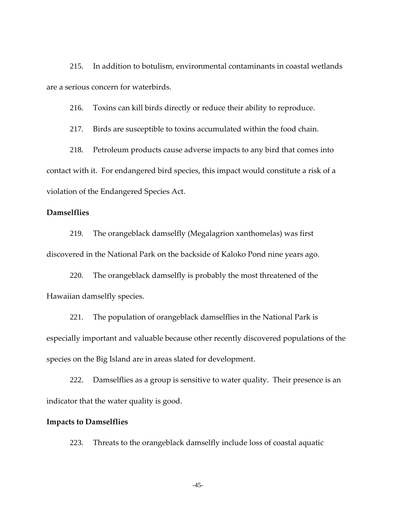215. In addition to botulism, environmental contaminants in coastal wetlands are a serious concern for waterbirds.

216. Toxins can kill birds directly or reduce their ability to reproduce.

217. Birds are susceptible to toxins accumulated within the food chain.

218. Petroleum products cause adverse impacts to any bird that comes into contact with it. For endangered bird species, this impact would constitute a risk of a violation of the Endangered Species Act.

### **Damselflies**

219. The orangeblack damselfly (Megalagrion xanthomelas) was first discovered in the National Park on the backside of Kaloko Pond nine years ago.

220. The orangeblack damselfly is probably the most threatened of the Hawaiian damselfly species.

221. The population of orangeblack damselflies in the National Park is especially important and valuable because other recently discovered populations of the species on the Big Island are in areas slated for development.

222. Damselflies as a group is sensitive to water quality. Their presence is an indicator that the water quality is good.

#### **Impacts to Damselflies**

223. Threats to the orangeblack damselfly include loss of coastal aquatic

-45-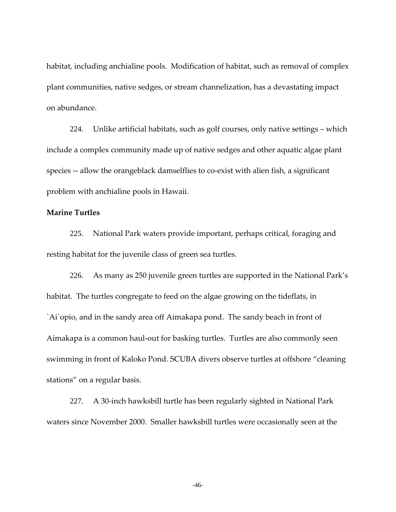habitat, including anchialine pools. Modification of habitat, such as removal of complex plant communities, native sedges, or stream channelization, has a devastating impact on abundance.

224. Unlike artificial habitats, such as golf courses, only native settings – which include a complex community made up of native sedges and other aquatic algae plant species -- allow the orangeblack damselflies to co-exist with alien fish, a significant problem with anchialine pools in Hawaii.

# **Marine Turtles**

225. National Park waters provide important, perhaps critical, foraging and resting habitat for the juvenile class of green sea turtles.

226. As many as 250 juvenile green turtles are supported in the National Park's habitat. The turtles congregate to feed on the algae growing on the tideflats, in `Ai`opio, and in the sandy area off Aimakapa pond. The sandy beach in front of Aimakapa is a common haul‐out for basking turtles. Turtles are also commonly seen swimming in front of Kaloko Pond. SCUBA divers observe turtles at offshore "cleaning stations" on a regular basis.

227. A 30‐inch hawksbill turtle has been regularly sighted in National Park waters since November 2000. Smaller hawksbill turtles were occasionally seen at the

-46-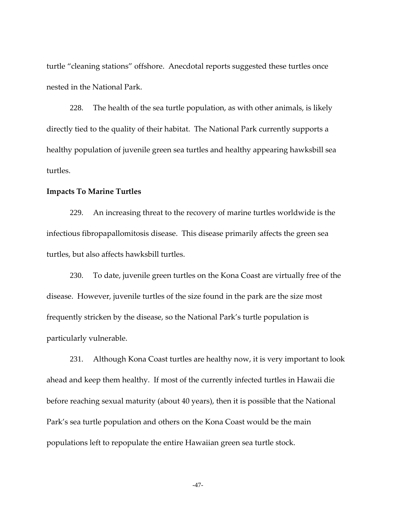turtle "cleaning stations" offshore. Anecdotal reports suggested these turtles once nested in the National Park.

228. The health of the sea turtle population, as with other animals, is likely directly tied to the quality of their habitat. The National Park currently supports a healthy population of juvenile green sea turtles and healthy appearing hawksbill sea turtles.

# **Impacts To Marine Turtles**

229. An increasing threat to the recovery of marine turtles worldwide is the infectious fibropapallomitosis disease. This disease primarily affects the green sea turtles, but also affects hawksbill turtles.

230. To date, juvenile green turtles on the Kona Coast are virtually free of the disease. However, juvenile turtles of the size found in the park are the size most frequently stricken by the disease, so the National Park's turtle population is particularly vulnerable.

231. Although Kona Coast turtles are healthy now, it is very important to look ahead and keep them healthy. If most of the currently infected turtles in Hawaii die before reaching sexual maturity (about 40 years), then it is possible that the National Park's sea turtle population and others on the Kona Coast would be the main populations left to repopulate the entire Hawaiian green sea turtle stock.

-47-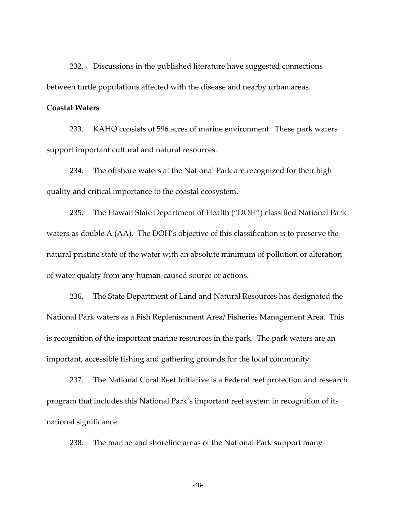232. Discussions in the published literature have suggested connections between turtle populations affected with the disease and nearby urban areas.

### **Coastal Waters**

233. KAHO consists of 596 acres of marine environment. These park waters support important cultural and natural resources.

234. The offshore waters at the National Park are recognized for their high quality and critical importance to the coastal ecosystem.

235. The Hawaii State Department of Health ("DOH") classified National Park waters as double A (AA). The DOH's objective of this classification is to preserve the natural pristine state of the water with an absolute minimum of pollution or alteration of water quality from any human‐caused source or actions.

236. The State Department of Land and Natural Resources has designated the National Park waters as a Fish Replenishment Area/ Fisheries Management Area. This is recognition of the important marine resources in the park. The park waters are an important, accessible fishing and gathering grounds for the local community.

237. The National Coral Reef Initiative is a Federal reef protection and research program that includes this National Park's important reef system in recognition of its national significance.

238. The marine and shoreline areas of the National Park support many

-48-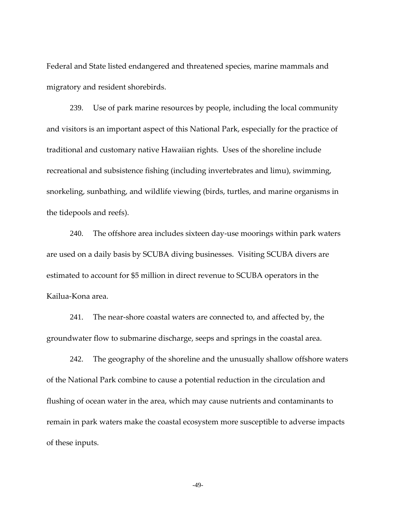Federal and State listed endangered and threatened species, marine mammals and migratory and resident shorebirds.

239. Use of park marine resources by people, including the local community and visitors is an important aspect of this National Park, especially for the practice of traditional and customary native Hawaiian rights. Uses of the shoreline include recreational and subsistence fishing (including invertebrates and limu), swimming, snorkeling, sunbathing, and wildlife viewing (birds, turtles, and marine organisms in the tidepools and reefs).

240. The offshore area includes sixteen day-use moorings within park waters are used on a daily basis by SCUBA diving businesses. Visiting SCUBA divers are estimated to account for \$5 million in direct revenue to SCUBA operators in the Kailua‐Kona area.

241. The near-shore coastal waters are connected to, and affected by, the groundwater flow to submarine discharge, seeps and springs in the coastal area.

242. The geography of the shoreline and the unusually shallow offshore waters of the National Park combine to cause a potential reduction in the circulation and flushing of ocean water in the area, which may cause nutrients and contaminants to remain in park waters make the coastal ecosystem more susceptible to adverse impacts of these inputs.

-49-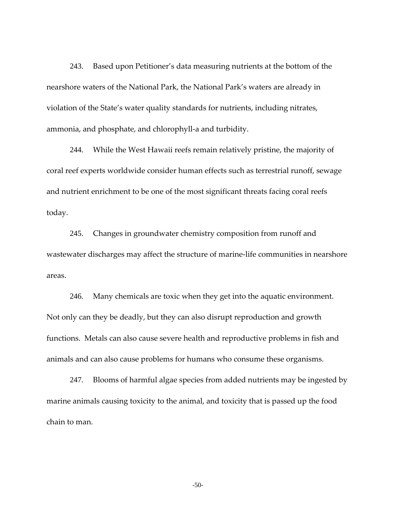243. Based upon Petitioner's data measuring nutrients at the bottom of the nearshore waters of the National Park, the National Park's waters are already in violation of the State's water quality standards for nutrients, including nitrates, ammonia, and phosphate, and chlorophyll‐a and turbidity.

244. While the West Hawaii reefs remain relatively pristine, the majority of coral reef experts worldwide consider human effects such as terrestrial runoff, sewage and nutrient enrichment to be one of the most significant threats facing coral reefs today.

245. Changes in groundwater chemistry composition from runoff and wastewater discharges may affect the structure of marine‐life communities in nearshore areas.

246. Many chemicals are toxic when they get into the aquatic environment. Not only can they be deadly, but they can also disrupt reproduction and growth functions. Metals can also cause severe health and reproductive problems in fish and animals and can also cause problems for humans who consume these organisms.

247. Blooms of harmful algae species from added nutrients may be ingested by marine animals causing toxicity to the animal, and toxicity that is passed up the food chain to man.

-50-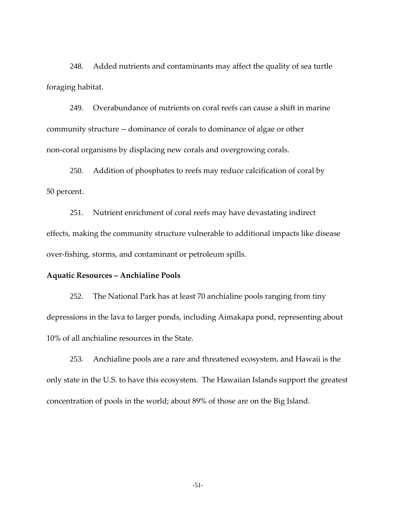248. Added nutrients and contaminants may affect the quality of sea turtle foraging habitat.

249. Overabundance of nutrients on coral reefs can cause a shift in marine community structure ‐‐ dominance of corals to dominance of algae or other non‐coral organisms by displacing new corals and overgrowing corals.

250. Addition of phosphates to reefs may reduce calcification of coral by 50 percent.

251. Nutrient enrichment of coral reefs may have devastating indirect effects, making the community structure vulnerable to additional impacts like disease over‐fishing, storms, and contaminant or petroleum spills.

# **Aquatic Resources – Anchialine Pools**

252. The National Park has at least 70 anchialine pools ranging from tiny depressions in the lava to larger ponds, including Aimakapa pond, representing about 10% of all anchialine resources in the State.

253. Anchialine pools are a rare and threatened ecosystem, and Hawaii is the only state in the U.S. to have this ecosystem. The Hawaiian Islands support the greatest concentration of pools in the world; about 89% of those are on the Big Island.

-51-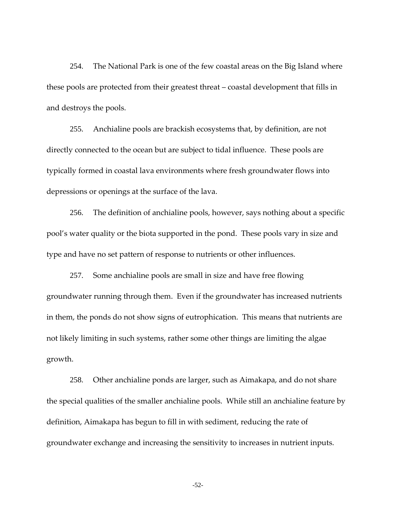254. The National Park is one of the few coastal areas on the Big Island where these pools are protected from their greatest threat – coastal development that fills in and destroys the pools.

255. Anchialine pools are brackish ecosystems that, by definition, are not directly connected to the ocean but are subject to tidal influence. These pools are typically formed in coastal lava environments where fresh groundwater flows into depressions or openings at the surface of the lava.

256. The definition of anchialine pools, however, says nothing about a specific pool's water quality or the biota supported in the pond. These pools vary in size and type and have no set pattern of response to nutrients or other influences.

257. Some anchialine pools are small in size and have free flowing groundwater running through them. Even if the groundwater has increased nutrients in them, the ponds do not show signs of eutrophication. This means that nutrients are not likely limiting in such systems, rather some other things are limiting the algae growth.

258. Other anchialine ponds are larger, such as Aimakapa, and do not share the special qualities of the smaller anchialine pools. While still an anchialine feature by definition, Aimakapa has begun to fill in with sediment, reducing the rate of groundwater exchange and increasing the sensitivity to increases in nutrient inputs.

-52-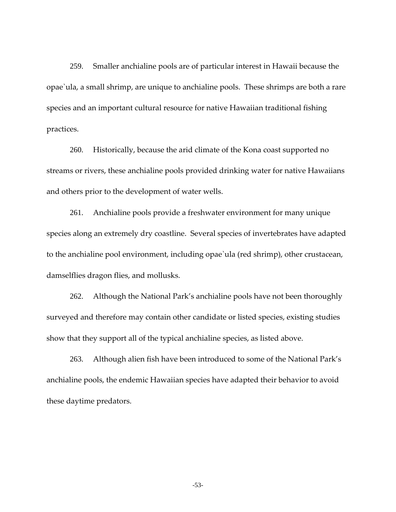259. Smaller anchialine pools are of particular interest in Hawaii because the opae`ula, a small shrimp, are unique to anchialine pools. These shrimps are both a rare species and an important cultural resource for native Hawaiian traditional fishing practices.

260. Historically, because the arid climate of the Kona coast supported no streams or rivers, these anchialine pools provided drinking water for native Hawaiians and others prior to the development of water wells.

261. Anchialine pools provide a freshwater environment for many unique species along an extremely dry coastline. Several species of invertebrates have adapted to the anchialine pool environment, including opae`ula (red shrimp), other crustacean, damselflies dragon flies, and mollusks.

262. Although the National Park's anchialine pools have not been thoroughly surveyed and therefore may contain other candidate or listed species, existing studies show that they support all of the typical anchialine species, as listed above.

263. Although alien fish have been introduced to some of the National Park's anchialine pools, the endemic Hawaiian species have adapted their behavior to avoid these daytime predators.

-53-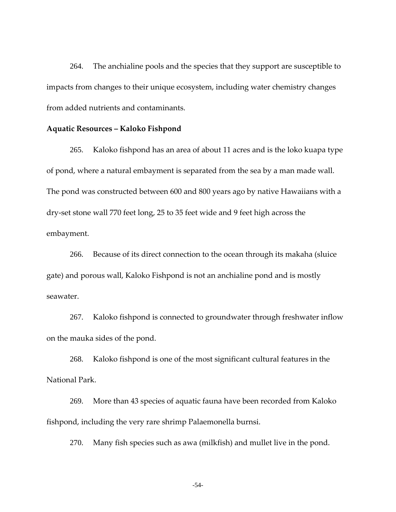264. The anchialine pools and the species that they support are susceptible to impacts from changes to their unique ecosystem, including water chemistry changes from added nutrients and contaminants.

#### **Aquatic Resources – Kaloko Fishpond**

265. Kaloko fishpond has an area of about 11 acres and is the loko kuapa type of pond, where a natural embayment is separated from the sea by a man made wall. The pond was constructed between 600 and 800 years ago by native Hawaiians with a dry‐set stone wall 770 feet long, 25 to 35 feet wide and 9 feet high across the embayment.

266. Because of its direct connection to the ocean through its makaha (sluice gate) and porous wall, Kaloko Fishpond is not an anchialine pond and is mostly seawater.

267. Kaloko fishpond is connected to groundwater through freshwater inflow on the mauka sides of the pond.

268. Kaloko fishpond is one of the most significant cultural features in the National Park.

269. More than 43 species of aquatic fauna have been recorded from Kaloko fishpond, including the very rare shrimp Palaemonella burnsi.

270. Many fish species such as awa (milkfish) and mullet live in the pond.

-54-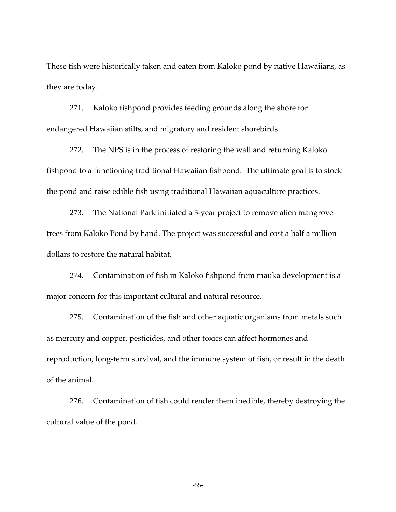These fish were historically taken and eaten from Kaloko pond by native Hawaiians, as they are today.

271. Kaloko fishpond provides feeding grounds along the shore for endangered Hawaiian stilts, and migratory and resident shorebirds.

272. The NPS is in the process of restoring the wall and returning Kaloko fishpond to a functioning traditional Hawaiian fishpond. The ultimate goal is to stock the pond and raise edible fish using traditional Hawaiian aquaculture practices.

273. The National Park initiated a 3‐year project to remove alien mangrove trees from Kaloko Pond by hand. The project was successful and cost a half a million dollars to restore the natural habitat.

274. Contamination of fish in Kaloko fishpond from mauka development is a major concern for this important cultural and natural resource.

275. Contamination of the fish and other aquatic organisms from metals such as mercury and copper, pesticides, and other toxics can affect hormones and reproduction, long-term survival, and the immune system of fish, or result in the death of the animal.

276. Contamination of fish could render them inedible, thereby destroying the cultural value of the pond.

-55-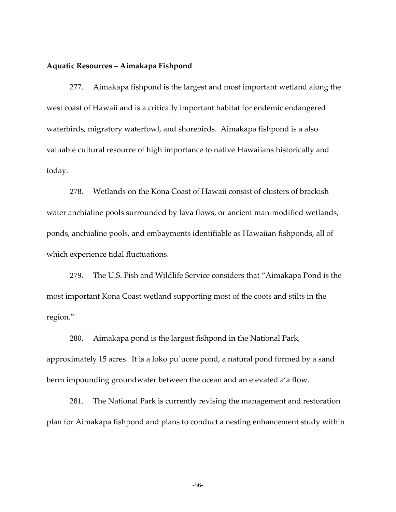### **Aquatic Resources – Aimakapa Fishpond**

277. Aimakapa fishpond is the largest and most important wetland along the west coast of Hawaii and is a critically important habitat for endemic endangered waterbirds, migratory waterfowl, and shorebirds. Aimakapa fishpond is a also valuable cultural resource of high importance to native Hawaiians historically and today.

278. Wetlands on the Kona Coast of Hawaii consist of clusters of brackish water anchialine pools surrounded by lava flows, or ancient man-modified wetlands, ponds, anchialine pools, and embayments identifiable as Hawaiian fishponds, all of which experience tidal fluctuations.

279. The U.S. Fish and Wildlife Service considers that "Aimakapa Pond is the most important Kona Coast wetland supporting most of the coots and stilts in the region."

280. Aimakapa pond is the largest fishpond in the National Park, approximately 15 acres. It is a loko pu`uone pond, a natural pond formed by a sand berm impounding groundwater between the ocean and an elevated a'a flow.

281. The National Park is currently revising the management and restoration plan for Aimakapa fishpond and plans to conduct a nesting enhancement study within

-56-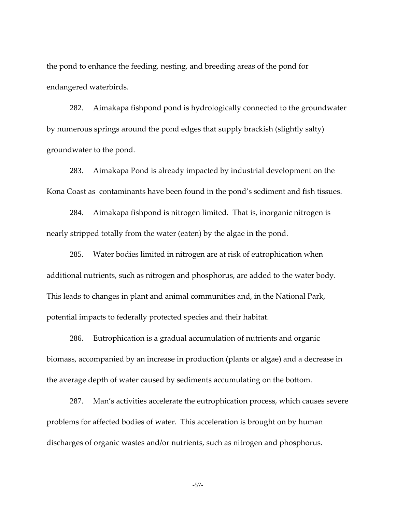the pond to enhance the feeding, nesting, and breeding areas of the pond for endangered waterbirds.

282. Aimakapa fishpond pond is hydrologically connected to the groundwater by numerous springs around the pond edges that supply brackish (slightly salty) groundwater to the pond.

283. Aimakapa Pond is already impacted by industrial development on the Kona Coast as contaminants have been found in the pond's sediment and fish tissues.

284. Aimakapa fishpond is nitrogen limited. That is, inorganic nitrogen is nearly stripped totally from the water (eaten) by the algae in the pond.

285. Water bodies limited in nitrogen are at risk of eutrophication when additional nutrients, such as nitrogen and phosphorus, are added to the water body. This leads to changes in plant and animal communities and, in the National Park, potential impacts to federally protected species and their habitat.

286. Eutrophication is a gradual accumulation of nutrients and organic biomass, accompanied by an increase in production (plants or algae) and a decrease in the average depth of water caused by sediments accumulating on the bottom.

287. Man's activities accelerate the eutrophication process, which causes severe problems for affected bodies of water. This acceleration is brought on by human discharges of organic wastes and/or nutrients, such as nitrogen and phosphorus.

-57-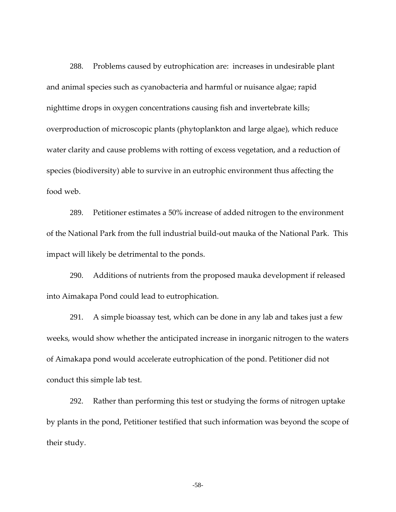288. Problems caused by eutrophication are: increases in undesirable plant and animal species such as cyanobacteria and harmful or nuisance algae; rapid nighttime drops in oxygen concentrations causing fish and invertebrate kills; overproduction of microscopic plants (phytoplankton and large algae), which reduce water clarity and cause problems with rotting of excess vegetation, and a reduction of species (biodiversity) able to survive in an eutrophic environment thus affecting the food web.

289. Petitioner estimates a 50% increase of added nitrogen to the environment of the National Park from the full industrial build‐out mauka of the National Park. This impact will likely be detrimental to the ponds.

290. Additions of nutrients from the proposed mauka development if released into Aimakapa Pond could lead to eutrophication.

291. A simple bioassay test, which can be done in any lab and takes just a few weeks, would show whether the anticipated increase in inorganic nitrogen to the waters of Aimakapa pond would accelerate eutrophication of the pond. Petitioner did not conduct this simple lab test.

292. Rather than performing this test or studying the forms of nitrogen uptake by plants in the pond, Petitioner testified that such information was beyond the scope of their study.

-58-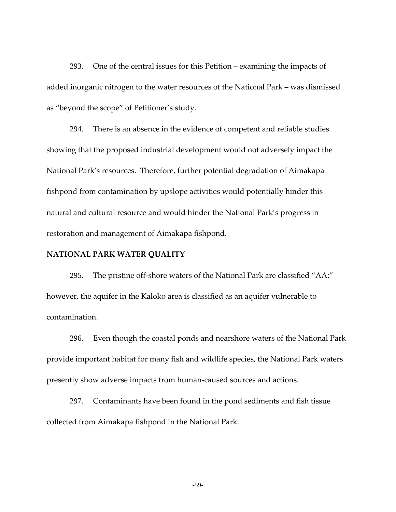293. One of the central issues for this Petition – examining the impacts of added inorganic nitrogen to the water resources of the National Park – was dismissed as "beyond the scope" of Petitioner's study.

294. There is an absence in the evidence of competent and reliable studies showing that the proposed industrial development would not adversely impact the National Park's resources. Therefore, further potential degradation of Aimakapa fishpond from contamination by upslope activities would potentially hinder this natural and cultural resource and would hinder the National Park's progress in restoration and management of Aimakapa fishpond.

## **NATIONAL PARK WATER QUALITY**

295. The pristine off-shore waters of the National Park are classified "AA;" however, the aquifer in the Kaloko area is classified as an aquifer vulnerable to contamination.

296. Even though the coastal ponds and nearshore waters of the National Park provide important habitat for many fish and wildlife species, the National Park waters presently show adverse impacts from human‐caused sources and actions.

297. Contaminants have been found in the pond sediments and fish tissue collected from Aimakapa fishpond in the National Park.

-59-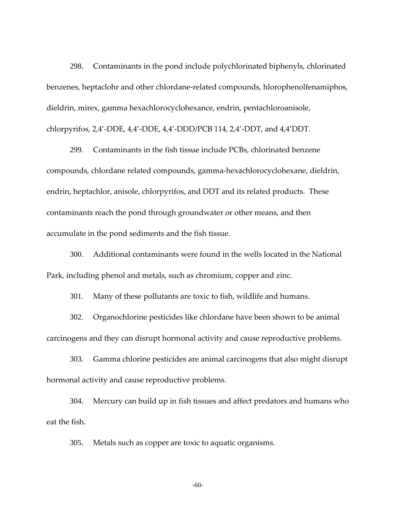298. Contaminants in the pond include polychlorinated biphenyls, chlorinated benzenes, heptaclohr and other chlordane‐related compounds, hlorophenolfenamiphos, dieldrin, mirex, gamma hexachlorocyclohexance, endrin, pentachloroanisole, chlorpyrifos, 2,4'‐DDE, 4,4'‐DDE, 4,4'‐DDD/PCB 114, 2,4'‐DDT, and 4,4'DDT.

299. Contaminants in the fish tissue include PCBs, chlorinated benzene compounds, chlordane related compounds, gamma‐hexachlorocyclohexane, dieldrin, endrin, heptachlor, anisole, chlorpyrifos, and DDT and its related products. These contaminants reach the pond through groundwater or other means, and then accumulate in the pond sediments and the fish tissue.

300. Additional contaminants were found in the wells located in the National Park, including phenol and metals, such as chromium, copper and zinc.

301. Many of these pollutants are toxic to fish, wildlife and humans.

302. Organochlorine pesticides like chlordane have been shown to be animal carcinogens and they can disrupt hormonal activity and cause reproductive problems.

303. Gamma chlorine pesticides are animal carcinogens that also might disrupt hormonal activity and cause reproductive problems.

304. Mercury can build up in fish tissues and affect predators and humans who eat the fish.

305. Metals such as copper are toxic to aquatic organisms.

-60-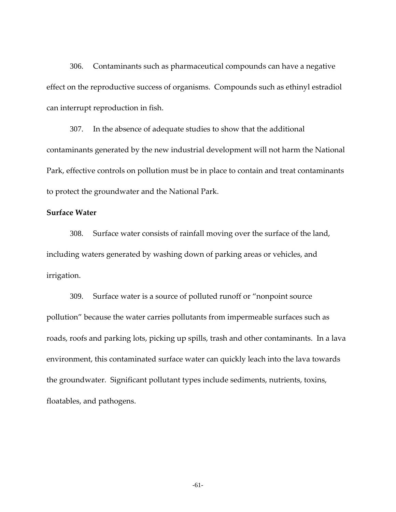306. Contaminants such as pharmaceutical compounds can have a negative effect on the reproductive success of organisms. Compounds such as ethinyl estradiol can interrupt reproduction in fish.

307. In the absence of adequate studies to show that the additional contaminants generated by the new industrial development will not harm the National Park, effective controls on pollution must be in place to contain and treat contaminants to protect the groundwater and the National Park.

# **Surface Water**

308. Surface water consists of rainfall moving over the surface of the land, including waters generated by washing down of parking areas or vehicles, and irrigation.

309. Surface water is a source of polluted runoff or "nonpoint source pollution" because the water carries pollutants from impermeable surfaces such as roads, roofs and parking lots, picking up spills, trash and other contaminants. In a lava environment, this contaminated surface water can quickly leach into the lava towards the groundwater. Significant pollutant types include sediments, nutrients, toxins, floatables, and pathogens.

-61-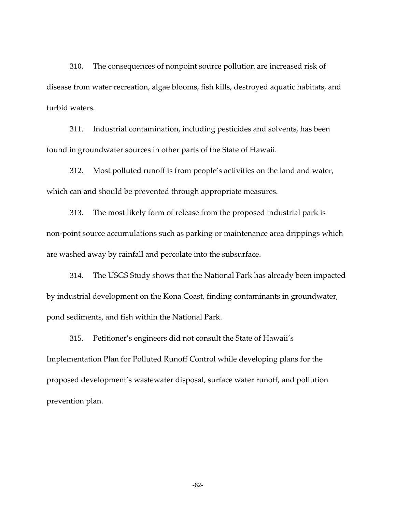310. The consequences of nonpoint source pollution are increased risk of disease from water recreation, algae blooms, fish kills, destroyed aquatic habitats, and turbid waters.

311. Industrial contamination, including pesticides and solvents, has been found in groundwater sources in other parts of the State of Hawaii.

312. Most polluted runoff is from people's activities on the land and water, which can and should be prevented through appropriate measures.

313. The most likely form of release from the proposed industrial park is non-point source accumulations such as parking or maintenance area drippings which are washed away by rainfall and percolate into the subsurface.

314. The USGS Study shows that the National Park has already been impacted by industrial development on the Kona Coast, finding contaminants in groundwater, pond sediments, and fish within the National Park.

315. Petitioner's engineers did not consult the State of Hawaii's Implementation Plan for Polluted Runoff Control while developing plans for the proposed development's wastewater disposal, surface water runoff, and pollution prevention plan.

-62-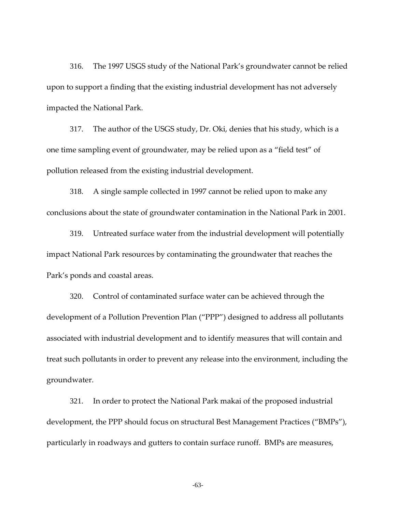<span id="page-31-0"></span>316. The 1997 USGS study of the National Park's groundwater cannot be relied upon to support a finding that the existing industrial development has not adversely impacted the National Park.

317. The author of the USGS study, Dr. Oki, denies that his study, which is a one time sampling event of groundwater, may be relied upon as a "field test" of pollution released from the existing industrial development.

318. A single sample collected in 1997 cannot be relied upon to make any conclusions about the state of groundwater contamination in the National Park in 2001.

319. Untreated surface water from the industrial development will potentially impact National Park resources by contaminating the groundwater that reaches the Park's ponds and coastal areas.

320. Control of contaminated surface water can be achieved through the development of a Pollution Prevention Plan ("PPP") designed to address all pollutants associated with industrial development and to identify measures that will contain and treat such pollutants in order to prevent any release into the environment, including the groundwater.

321. In order to protect the National Park makai of the proposed industrial development, the PPP should focus on structural Best Management Practices ("BMPs"), particularly in roadways and gutters to contain surface runoff. BMPs are measures,

-63-